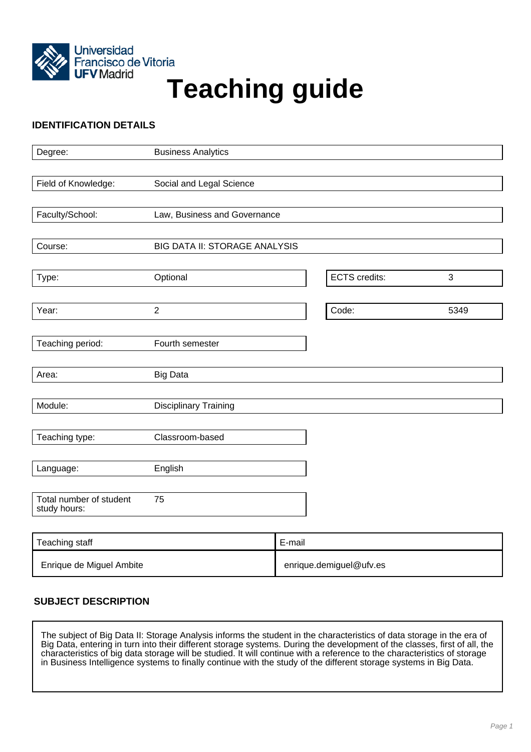

# Francisco de Vitoria<br>UFV Madrid<br>
Teaching guide

# **IDENTIFICATION DETAILS**

| Degree:                 | <b>Business Analytics</b>            |                      |      |
|-------------------------|--------------------------------------|----------------------|------|
|                         |                                      |                      |      |
| Field of Knowledge:     | Social and Legal Science             |                      |      |
|                         |                                      |                      |      |
| Faculty/School:         | Law, Business and Governance         |                      |      |
|                         |                                      |                      |      |
| Course:                 | <b>BIG DATA II: STORAGE ANALYSIS</b> |                      |      |
| Type:                   | Optional                             | <b>ECTS</b> credits: | 3    |
|                         |                                      |                      |      |
| Year:                   | $\overline{2}$                       | Code:                | 5349 |
|                         |                                      |                      |      |
| Teaching period:        | Fourth semester                      |                      |      |
|                         |                                      |                      |      |
| Area:                   | <b>Big Data</b>                      |                      |      |
|                         |                                      |                      |      |
| Module:                 | <b>Disciplinary Training</b>         |                      |      |
| Teaching type:          | Classroom-based                      |                      |      |
|                         |                                      |                      |      |
| Language:               | English                              |                      |      |
| Total number of student | 75                                   |                      |      |
| study hours:            |                                      |                      |      |
|                         |                                      |                      |      |
| Teaching staff          | E-mail                               |                      |      |

| Teaching staff           | E-mail                  |
|--------------------------|-------------------------|
| Enrique de Miguel Ambite | enrique.demiguel@ufv.es |

# **SUBJECT DESCRIPTION**

The subject of Big Data II: Storage Analysis informs the student in the characteristics of data storage in the era of Big Data, entering in turn into their different storage systems. During the development of the classes, first of all, the characteristics of big data storage will be studied. It will continue with a reference to the characteristics of storage in Business Intelligence systems to finally continue with the study of the different storage systems in Big Data.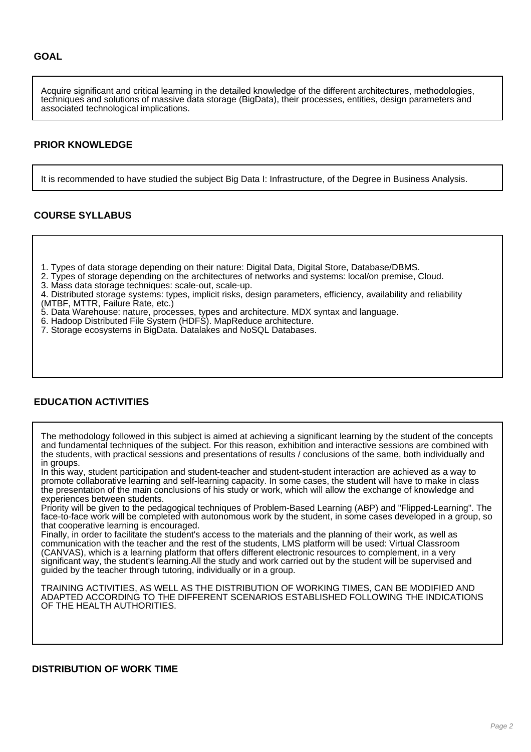Acquire significant and critical learning in the detailed knowledge of the different architectures, methodologies, techniques and solutions of massive data storage (BigData), their processes, entities, design parameters and associated technological implications.

#### **PRIOR KNOWLEDGE**

It is recommended to have studied the subject Big Data I: Infrastructure, of the Degree in Business Analysis.

## **COURSE SYLLABUS**

- 1. Types of data storage depending on their nature: Digital Data, Digital Store, Database/DBMS.
- 2. Types of storage depending on the architectures of networks and systems: local/on premise, Cloud.

3. Mass data storage techniques: scale-out, scale-up.

4. Distributed storage systems: types, implicit risks, design parameters, efficiency, availability and reliability (MTBF, MTTR, Failure Rate, etc.)

- 5. Data Warehouse: nature, processes, types and architecture. MDX syntax and language.
- 6. Hadoop Distributed File System (HDFS). MapReduce architecture.
- 7. Storage ecosystems in BigData. Datalakes and NoSQL Databases.

## **EDUCATION ACTIVITIES**

The methodology followed in this subject is aimed at achieving a significant learning by the student of the concepts and fundamental techniques of the subject. For this reason, exhibition and interactive sessions are combined with the students, with practical sessions and presentations of results / conclusions of the same, both individually and in groups.

In this way, student participation and student-teacher and student-student interaction are achieved as a way to promote collaborative learning and self-learning capacity. In some cases, the student will have to make in class the presentation of the main conclusions of his study or work, which will allow the exchange of knowledge and experiences between students.

Priority will be given to the pedagogical techniques of Problem-Based Learning (ABP) and "Flipped-Learning". The face-to-face work will be completed with autonomous work by the student, in some cases developed in a group, so that cooperative learning is encouraged.

Finally, in order to facilitate the student's access to the materials and the planning of their work, as well as communication with the teacher and the rest of the students, LMS platform will be used: Virtual Classroom (CANVAS), which is a learning platform that offers different electronic resources to complement, in a very significant way, the student's learning.All the study and work carried out by the student will be supervised and guided by the teacher through tutoring, individually or in a group.

TRAINING ACTIVITIES, AS WELL AS THE DISTRIBUTION OF WORKING TIMES, CAN BE MODIFIED AND ADAPTED ACCORDING TO THE DIFFERENT SCENARIOS ESTABLISHED FOLLOWING THE INDICATIONS OF THE HEALTH AUTHORITIES.

#### **DISTRIBUTION OF WORK TIME**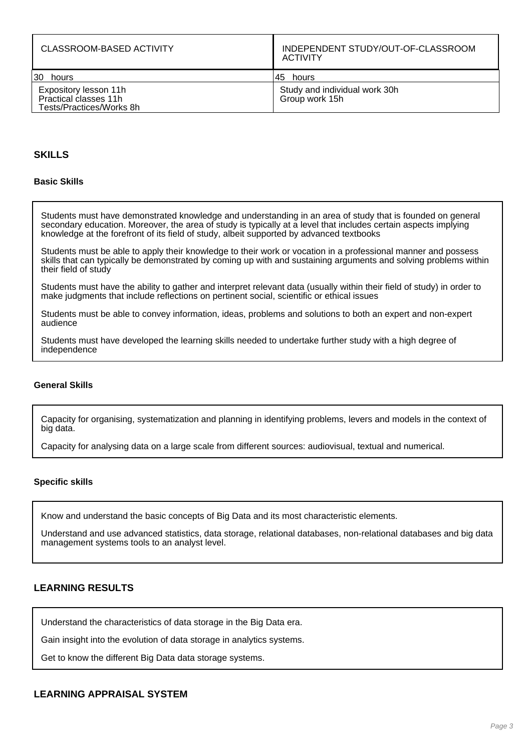| CLASSROOM-BASED ACTIVITY                                                   | INDEPENDENT STUDY/OUT-OF-CLASSROOM<br>ACTIVITY  |
|----------------------------------------------------------------------------|-------------------------------------------------|
| 30 hours                                                                   | 145 hours                                       |
| Expository lesson 11h<br>Practical classes 11h<br>Tests/Practices/Works 8h | Study and individual work 30h<br>Group work 15h |

### **SKILLS**

#### **Basic Skills**

Students must have demonstrated knowledge and understanding in an area of study that is founded on general secondary education. Moreover, the area of study is typically at a level that includes certain aspects implying knowledge at the forefront of its field of study, albeit supported by advanced textbooks

Students must be able to apply their knowledge to their work or vocation in a professional manner and possess skills that can typically be demonstrated by coming up with and sustaining arguments and solving problems within their field of study

Students must have the ability to gather and interpret relevant data (usually within their field of study) in order to make judgments that include reflections on pertinent social, scientific or ethical issues

Students must be able to convey information, ideas, problems and solutions to both an expert and non-expert audience

Students must have developed the learning skills needed to undertake further study with a high degree of independence

#### **General Skills**

Capacity for organising, systematization and planning in identifying problems, levers and models in the context of big data.

Capacity for analysing data on a large scale from different sources: audiovisual, textual and numerical.

#### **Specific skills**

Know and understand the basic concepts of Big Data and its most characteristic elements.

Understand and use advanced statistics, data storage, relational databases, non-relational databases and big data management systems tools to an analyst level.

#### **LEARNING RESULTS**

Understand the characteristics of data storage in the Big Data era.

Gain insight into the evolution of data storage in analytics systems.

Get to know the different Big Data data storage systems.

#### **LEARNING APPRAISAL SYSTEM**